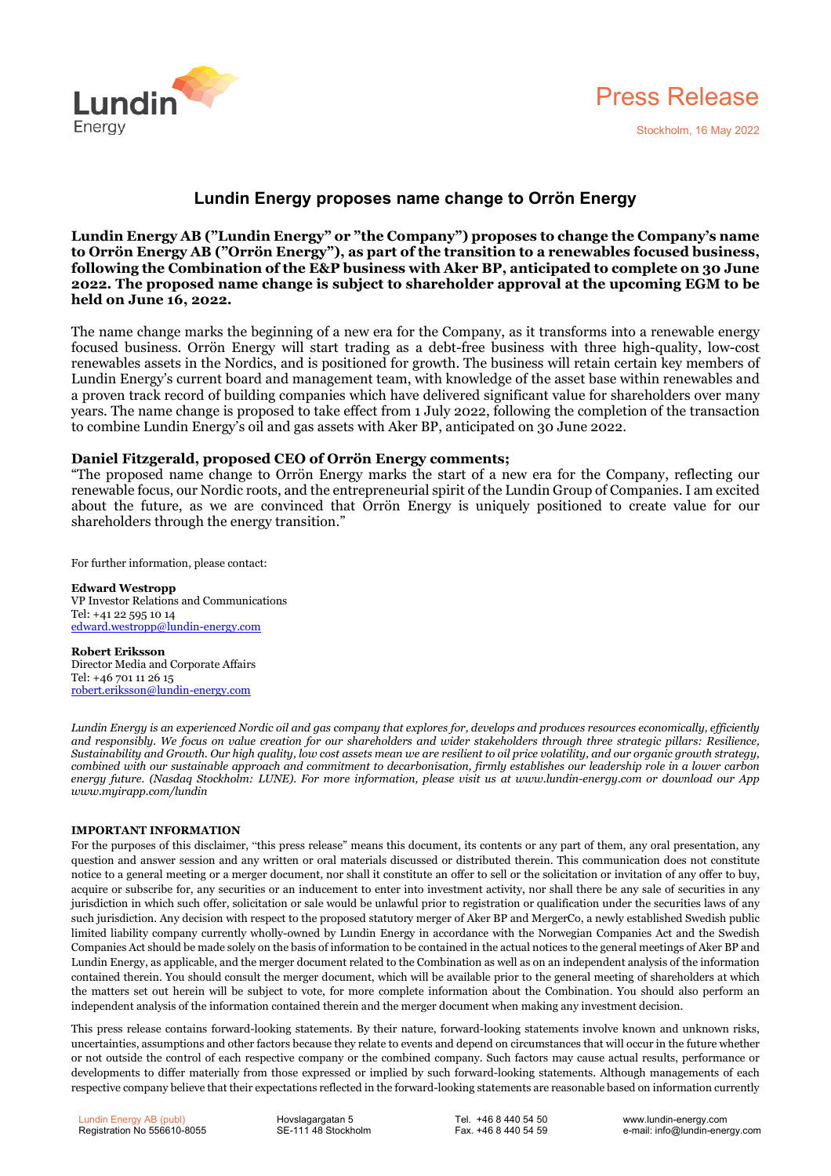



## **Lundin Energy proposes name change to Orrön Energy**

**Lundin Energy AB ("Lundin Energy" or "the Company") proposes to change the Company's name to Orrön Energy AB ("Orrön Energy"), as part of the transition to a renewables focused business, following the Combination of the E&P business with Aker BP, anticipated to complete on 30 June 2022. The proposed name change is subject to shareholder approval at the upcoming EGM to be held on June 16, 2022.**

The name change marks the beginning of a new era for the Company, as it transforms into a renewable energy focused business. Orrön Energy will start trading as a debt-free business with three high-quality, low-cost renewables assets in the Nordics, and is positioned for growth. The business will retain certain key members of Lundin Energy's current board and management team, with knowledge of the asset base within renewables and a proven track record of building companies which have delivered significant value for shareholders over many years. The name change is proposed to take effect from 1 July 2022, following the completion of the transaction to combine Lundin Energy's oil and gas assets with Aker BP, anticipated on 30 June 2022.

## **Daniel Fitzgerald, proposed CEO of Orrön Energy comments;**

"The proposed name change to Orrön Energy marks the start of a new era for the Company, reflecting our renewable focus, our Nordic roots, and the entrepreneurial spirit of the Lundin Group of Companies. I am excited about the future, as we are convinced that Orrön Energy is uniquely positioned to create value for our shareholders through the energy transition."

For further information, please contact:

**Edward Westropp** VP Investor Relations and Communications Tel: +41 22 595 10 14 [edward.westropp@lundin-energy.com](mailto:edward.westropp@lundin-energy.com)

**Robert Eriksson** Director Media and Corporate Affairs Tel: +46 701 11 26 15 [robert.eriksson@lundin-energy.com](mailto:robert.eriksson@lundin-energy.com)

Lundin Energy is an experienced Nordic oil and gas company that explores for, develops and produces resources economically, efficiently and responsibly. We focus on value creation for our shareholders and wider stakeholders through three strategic pillars: Resilience, Sustainability and Growth. Our high quality, low cost assets mean we are resilient to oil price volatility, and our organic growth strategy, combined with our sustainable approach and commitment to decarbonisation, firmly establishes our leadership role in a lower carbon energy future. (Nasdaq Stockholm: LUNE). For more information, please visit us at www.lundin-energy.com or download our App *www.myirapp.com/lundin*

## **IMPORTANT INFORMATION**

For the purposes of this disclaimer, "this press release" means this document, its contents or any part of them, any oral presentation, any question and answer session and any written or oral materials discussed or distributed therein. This communication does not constitute notice to a general meeting or a merger document, nor shall it constitute an offer to sell or the solicitation or invitation of any offer to buy, acquire or subscribe for, any securities or an inducement to enter into investment activity, nor shall there be any sale of securities in any jurisdiction in which such offer, solicitation or sale would be unlawful prior to registration or qualification under the securities laws of any such jurisdiction. Any decision with respect to the proposed statutory merger of Aker BP and MergerCo, a newly established Swedish public limited liability company currently wholly-owned by Lundin Energy in accordance with the Norwegian Companies Act and the Swedish Companies Act should be made solely on the basis of information to be contained in the actual notices to the general meetings of Aker BP and Lundin Energy, as applicable, and the merger document related to the Combination as well as on an independent analysis of the information contained therein. You should consult the merger document, which will be available prior to the general meeting of shareholders at which the matters set out herein will be subject to vote, for more complete information about the Combination. You should also perform an independent analysis of the information contained therein and the merger document when making any investment decision.

This press release contains forward-looking statements. By their nature, forward-looking statements involve known and unknown risks, uncertainties, assumptions and other factors because they relate to events and depend on circumstances that will occur in the future whether or not outside the control of each respective company or the combined company. Such factors may cause actual results, performance or developments to differ materially from those expressed or implied by such forward-looking statements. Although managements of each respective company believe that their expectations reflected in the forward-looking statements are reasonable based on information currently

Hovslagargatan 5 SE-111 48 Stockholm

Tel. +46 8 440 54 50 Fax. +46 8 440 54 59